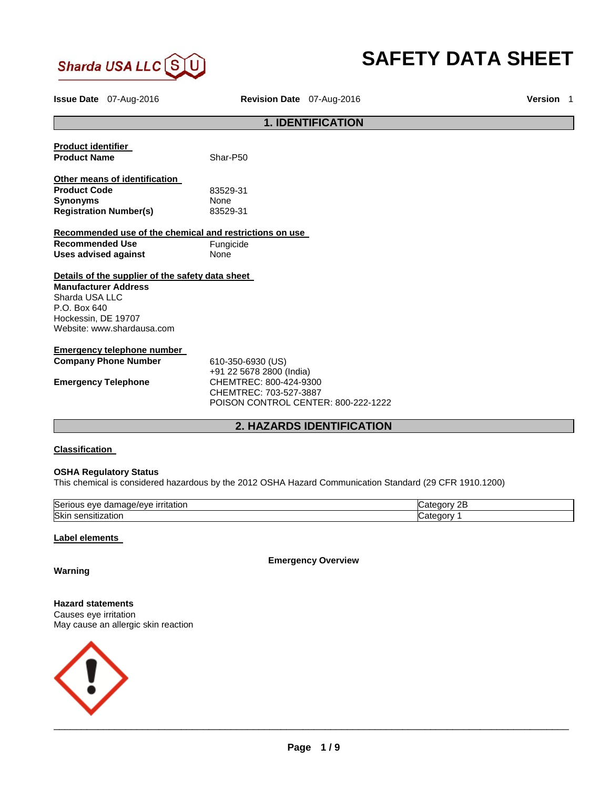

# **SAFETY DATA SHEET**

**Issue Date** 07-Aug-2016 **Revision Date** 07-Aug-2016 **Version** 1

# **1. IDENTIFICATION Product identifier Product Name** Shar-P50 **Other means of identification Product Code 2008 183529-31**<br> **Synonyms Synonyms None**<br> **Registration Number(s)** 83529-31 **Registration Number(s) Recommended use of the chemical and restrictions on use Recommended Use Fungicide Uses advised against** None **Details of the supplier of the safety data sheet Manufacturer Address** Sharda USA LLC P.O. Box 640 Hockessin, DE 19707 Website: www.shardausa.com **Emergency telephone number Company Phone Number** 610-350-6930 (US) +91 22 5678 2800 (India) **Emergency Telephone** CHEMTREC: 800-424-9300 CHEMTREC: 703-527-3887 POISON CONTROL CENTER: 800-222-1222 **2. HAZARDS IDENTIFICATION**

#### **Classification**

## **OSHA Regulatory Status**

This chemical is considered hazardous by the 2012 OSHA Hazard Communication Standard (29 CFR 1910.1200)

| Serio<br><u>irritation</u><br>120e/eve<br>$\sim$<br>eve<br>dar | OF.<br>⊶uorv∴<br>.ate<br>ᅩ |
|----------------------------------------------------------------|----------------------------|
| <b>Skin</b>                                                    | .                          |
| zation                                                         | atı                        |
| sensiu.                                                        | ⊰aor⊻                      |

#### **Label elements**

**Emergency Overview** 

**Warning** 

# **Hazard statements**

Causes eye irritation May cause an allergic skin reaction

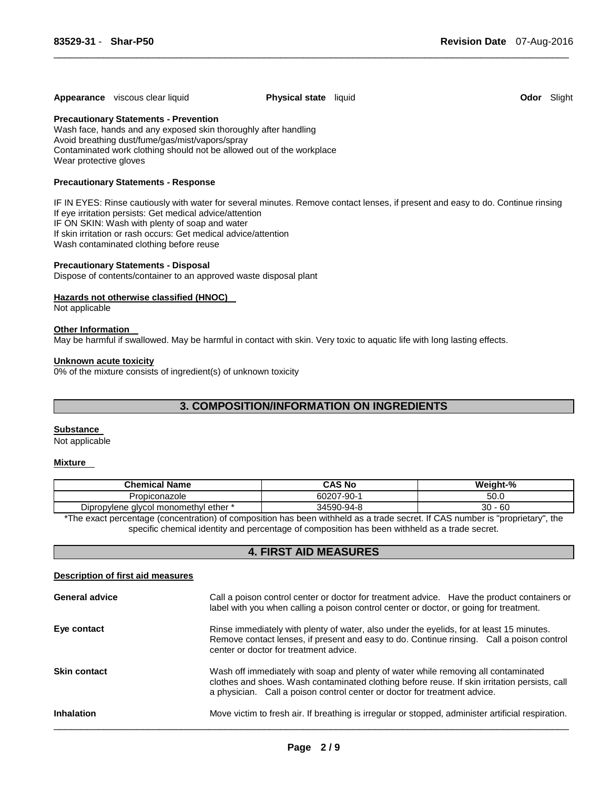# **Appearance** viscous clear liquid **Physical state** liquid **Odor** Slight

**Precautionary Statements - Prevention**

Wash face, hands and any exposed skin thoroughly after handling Avoid breathing dust/fume/gas/mist/vapors/spray Contaminated work clothing should not be allowed out of the workplace Wear protective gloves

#### **Precautionary Statements - Response**

IF IN EYES: Rinse cautiously with water for several minutes. Remove contact lenses, if present and easy to do. Continue rinsing If eye irritation persists: Get medical advice/attention IF ON SKIN: Wash with plenty of soap and water If skin irritation or rash occurs: Get medical advice/attention Wash contaminated clothing before reuse

\_\_\_\_\_\_\_\_\_\_\_\_\_\_\_\_\_\_\_\_\_\_\_\_\_\_\_\_\_\_\_\_\_\_\_\_\_\_\_\_\_\_\_\_\_\_\_\_\_\_\_\_\_\_\_\_\_\_\_\_\_\_\_\_\_\_\_\_\_\_\_\_\_\_\_\_\_\_\_\_\_\_\_\_\_\_\_\_\_\_\_\_\_

#### **Precautionary Statements - Disposal**

Dispose of contents/container to an approved waste disposal plant

#### **Hazards not otherwise classified (HNOC)**

Not applicable

#### **Other Information**

May be harmful if swallowed. May be harmful in contact with skin. Very toxic to aquatic life with long lasting effects.

#### **Unknown acute toxicity**

0% of the mixture consists of ingredient(s) of unknown toxicity

# **3. COMPOSITION/INFORMATION ON INGREDIENTS**

#### **Substance**

Not applicable

# **Mixture**

| <b>Chemical Name</b>                       | CAS No     | Weight-%  |
|--------------------------------------------|------------|-----------|
| Propiconazole                              | 60207-90-1 | 50.0      |
| Dipropylene glycol monomethyl r<br>ether * | 34590-94-8 | 30<br>-60 |

\*The exact percentage (concentration) of composition has been withheld as a trade secret. If CAS number is "proprietary", the specific chemical identity and percentage of composition has been withheld as a trade secret.

#### **4. FIRST AID MEASURES**

| Description of first aid measures |                                                                                                                                                                                                                                                                  |
|-----------------------------------|------------------------------------------------------------------------------------------------------------------------------------------------------------------------------------------------------------------------------------------------------------------|
| <b>General advice</b>             | Call a poison control center or doctor for treatment advice. Have the product containers or<br>label with you when calling a poison control center or doctor, or going for treatment.                                                                            |
| Eye contact                       | Rinse immediately with plenty of water, also under the eyelids, for at least 15 minutes.<br>Remove contact lenses, if present and easy to do. Continue rinsing. Call a poison control<br>center or doctor for treatment advice.                                  |
| <b>Skin contact</b>               | Wash off immediately with soap and plenty of water while removing all contaminated<br>clothes and shoes. Wash contaminated clothing before reuse. If skin irritation persists, call<br>a physician. Call a poison control center or doctor for treatment advice. |
| <b>Inhalation</b>                 | Move victim to fresh air. If breathing is irregular or stopped, administer artificial respiration.                                                                                                                                                               |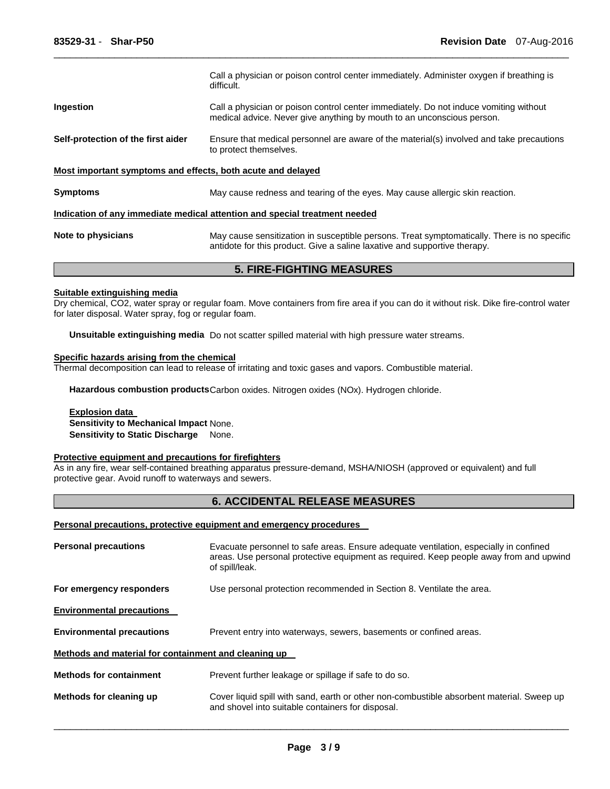|                                                             | Call a physician or poison control center immediately. Administer oxygen if breathing is<br>difficult.                                                                   |
|-------------------------------------------------------------|--------------------------------------------------------------------------------------------------------------------------------------------------------------------------|
| <b>Ingestion</b>                                            | Call a physician or poison control center immediately. Do not induce vomiting without<br>medical advice. Never give anything by mouth to an unconscious person.          |
| Self-protection of the first aider                          | Ensure that medical personnel are aware of the material(s) involved and take precautions<br>to protect themselves.                                                       |
| Most important symptoms and effects, both acute and delayed |                                                                                                                                                                          |
| <b>Symptoms</b>                                             | May cause redness and tearing of the eyes. May cause allergic skin reaction.                                                                                             |
|                                                             | Indication of any immediate medical attention and special treatment needed                                                                                               |
| Note to physicians                                          | May cause sensitization in susceptible persons. Treat symptomatically. There is no specific<br>antidote for this product. Give a saline laxative and supportive therapy. |

\_\_\_\_\_\_\_\_\_\_\_\_\_\_\_\_\_\_\_\_\_\_\_\_\_\_\_\_\_\_\_\_\_\_\_\_\_\_\_\_\_\_\_\_\_\_\_\_\_\_\_\_\_\_\_\_\_\_\_\_\_\_\_\_\_\_\_\_\_\_\_\_\_\_\_\_\_\_\_\_\_\_\_\_\_\_\_\_\_\_\_\_\_

# **5. FIRE-FIGHTING MEASURES**

# **Suitable extinguishing media**

Dry chemical, CO2, water spray or regular foam. Move containers from fire area if you can do it without risk. Dike fire-control water for later disposal. Water spray, fog or regular foam.

**Unsuitable extinguishing media** Do not scatter spilled material with high pressure water streams.

#### **Specific hazards arising from the chemical**

Thermal decomposition can lead to release of irritating and toxic gases and vapors. Combustible material.

**Hazardous combustion products** Carbon oxides. Nitrogen oxides (NOx). Hydrogen chloride.

# **Explosion data**

**Sensitivity to Mechanical Impact** None. **Sensitivity to Static Discharge None.** 

#### **Protective equipment and precautions for firefighters**

As in any fire, wear self-contained breathing apparatus pressure-demand, MSHA/NIOSH (approved or equivalent) and full protective gear. Avoid runoff to waterways and sewers.

# **6. ACCIDENTAL RELEASE MEASURES**

#### **Personal precautions, protective equipment and emergency procedures**

| <b>Personal precautions</b>                          | Evacuate personnel to safe areas. Ensure adequate ventilation, especially in confined<br>areas. Use personal protective equipment as required. Keep people away from and upwind<br>of spill/leak. |  |
|------------------------------------------------------|---------------------------------------------------------------------------------------------------------------------------------------------------------------------------------------------------|--|
| For emergency responders                             | Use personal protection recommended in Section 8. Ventilate the area.                                                                                                                             |  |
| <b>Environmental precautions</b>                     |                                                                                                                                                                                                   |  |
| <b>Environmental precautions</b>                     | Prevent entry into waterways, sewers, basements or confined areas.                                                                                                                                |  |
| Methods and material for containment and cleaning up |                                                                                                                                                                                                   |  |
| <b>Methods for containment</b>                       | Prevent further leakage or spillage if safe to do so.                                                                                                                                             |  |
| Methods for cleaning up                              | Cover liquid spill with sand, earth or other non-combustible absorbent material. Sweep up<br>and shovel into suitable containers for disposal.                                                    |  |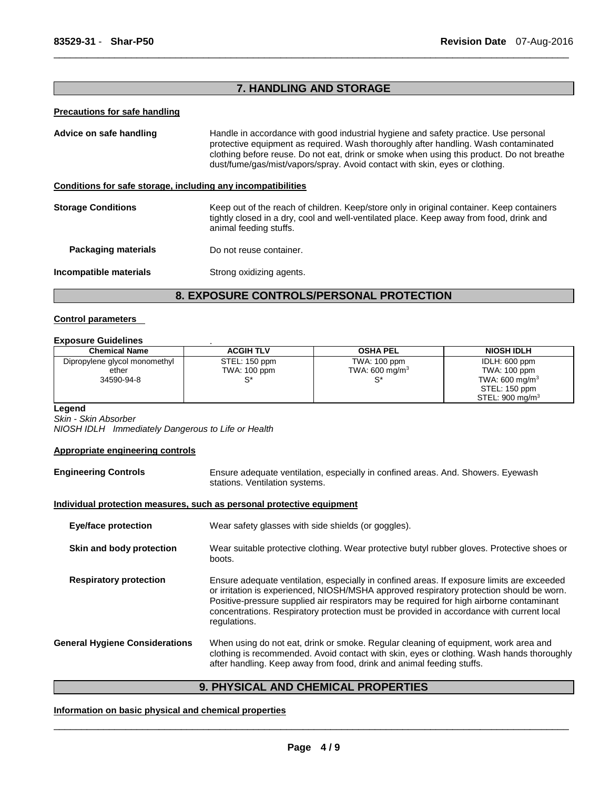# **7. HANDLING AND STORAGE**

\_\_\_\_\_\_\_\_\_\_\_\_\_\_\_\_\_\_\_\_\_\_\_\_\_\_\_\_\_\_\_\_\_\_\_\_\_\_\_\_\_\_\_\_\_\_\_\_\_\_\_\_\_\_\_\_\_\_\_\_\_\_\_\_\_\_\_\_\_\_\_\_\_\_\_\_\_\_\_\_\_\_\_\_\_\_\_\_\_\_\_\_\_

#### **Precautions for safe handling**

**Advice on safe handling** Handle in accordance with good industrial hygiene and safety practice. Use personal protective equipment as required. Wash thoroughly after handling. Wash contaminated clothing before reuse. Do not eat, drink or smoke when using this product. Do not breathe dust/fume/gas/mist/vapors/spray. Avoid contact with skin, eyes or clothing.

# **Conditions for safe storage, including any incompatibilities**

| <b>Storage Conditions</b> | Keep out of the reach of children. Keep/store only in original container. Keep containers<br>tightly closed in a dry, cool and well-ventilated place. Keep away from food, drink and<br>animal feeding stuffs. |
|---------------------------|----------------------------------------------------------------------------------------------------------------------------------------------------------------------------------------------------------------|
| Packaging materials       | Do not reuse container.                                                                                                                                                                                        |
| Incompatible materials    | Strong oxidizing agents.                                                                                                                                                                                       |

# **8. EXPOSURE CONTROLS/PERSONAL PROTECTION**

#### **Control parameters**

## **Exposure Guidelines** .

| <b>Chemical Name</b>          | <b>ACGIH TLV</b> | <b>OSHA PEL</b>            | <b>NIOSH IDLH</b>           |
|-------------------------------|------------------|----------------------------|-----------------------------|
| Dipropylene glycol monomethyl | STEL: 150 ppm    | TWA: 100 ppm               | IDLH: 600 ppm               |
| ether                         | TWA: 100 ppm     | TWA: 600 mg/m <sup>3</sup> | TWA: 100 ppm                |
| 34590-94-8                    | c*               |                            | TWA: 600 mg/m <sup>3</sup>  |
|                               |                  |                            | STEL: 150 ppm               |
|                               |                  |                            | STEL: 900 mg/m <sup>3</sup> |

#### **Legend**

*Skin - Skin Absorber NIOSH IDLH Immediately Dangerous to Life or Health* 

#### **Appropriate engineering controls**

| <b>Engineering Controls</b>           | Ensure adequate ventilation, especially in confined areas. And. Showers. Eyewash<br>stations. Ventilation systems.                                                                                                                                                                                                                                                                             |  |
|---------------------------------------|------------------------------------------------------------------------------------------------------------------------------------------------------------------------------------------------------------------------------------------------------------------------------------------------------------------------------------------------------------------------------------------------|--|
|                                       | Individual protection measures, such as personal protective equipment                                                                                                                                                                                                                                                                                                                          |  |
| <b>Eye/face protection</b>            | Wear safety glasses with side shields (or goggles).                                                                                                                                                                                                                                                                                                                                            |  |
| Skin and body protection              | Wear suitable protective clothing. Wear protective butyl rubber gloves. Protective shoes or<br>boots.                                                                                                                                                                                                                                                                                          |  |
| <b>Respiratory protection</b>         | Ensure adequate ventilation, especially in confined areas. If exposure limits are exceeded<br>or irritation is experienced, NIOSH/MSHA approved respiratory protection should be worn.<br>Positive-pressure supplied air respirators may be required for high airborne contaminant<br>concentrations. Respiratory protection must be provided in accordance with current local<br>regulations. |  |
| <b>General Hygiene Considerations</b> | When using do not eat, drink or smoke. Regular cleaning of equipment, work area and<br>clothing is recommended. Avoid contact with skin, eyes or clothing. Wash hands thoroughly<br>after handling. Keep away from food, drink and animal feeding stuffs.                                                                                                                                      |  |

# **9. PHYSICAL AND CHEMICAL PROPERTIES**

#### **Information on basic physical and chemical properties**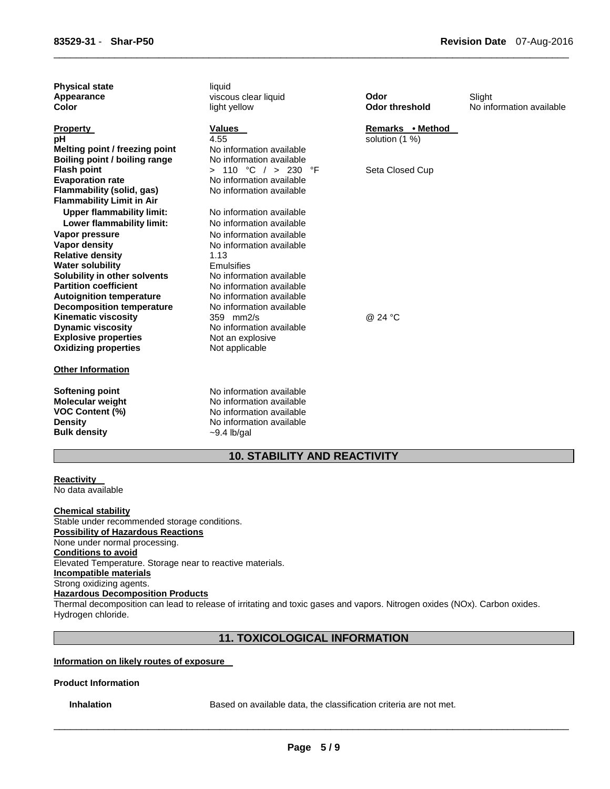| <b>Physical state</b><br>Appearance<br>Color       | liquid<br>viscous clear liquid<br>light yellow | Odor<br><b>Odor threshold</b>      | Slight<br>No information available |
|----------------------------------------------------|------------------------------------------------|------------------------------------|------------------------------------|
| <b>Property</b><br>рH                              | Values<br>4.55                                 | Remarks • Method<br>solution (1 %) |                                    |
| Melting point / freezing point                     | No information available                       |                                    |                                    |
| Boiling point / boiling range                      | No information available                       |                                    |                                    |
| <b>Flash point</b>                                 | > 110 °C / > 230 °F                            | Seta Closed Cup                    |                                    |
| <b>Evaporation rate</b>                            | No information available                       |                                    |                                    |
| Flammability (solid, gas)                          | No information available                       |                                    |                                    |
| <b>Flammability Limit in Air</b>                   |                                                |                                    |                                    |
| <b>Upper flammability limit:</b>                   | No information available                       |                                    |                                    |
| Lower flammability limit:                          | No information available                       |                                    |                                    |
| Vapor pressure                                     | No information available                       |                                    |                                    |
| Vapor density                                      | No information available<br>1.13               |                                    |                                    |
| <b>Relative density</b><br><b>Water solubility</b> | Emulsifies                                     |                                    |                                    |
| Solubility in other solvents                       | No information available                       |                                    |                                    |
| <b>Partition coefficient</b>                       | No information available                       |                                    |                                    |
| <b>Autoignition temperature</b>                    | No information available                       |                                    |                                    |
| <b>Decomposition temperature</b>                   | No information available                       |                                    |                                    |
| <b>Kinematic viscosity</b>                         | 359 mm2/s                                      | @ 24 °C                            |                                    |
| <b>Dynamic viscosity</b>                           | No information available                       |                                    |                                    |
| <b>Explosive properties</b>                        | Not an explosive                               |                                    |                                    |
| <b>Oxidizing properties</b>                        | Not applicable                                 |                                    |                                    |
| <b>Other Information</b>                           |                                                |                                    |                                    |
| Softening point                                    | No information available                       |                                    |                                    |
| <b>Molecular weight</b>                            | No information available                       |                                    |                                    |
| <b>VOC Content (%)</b>                             | No information available                       |                                    |                                    |
| <b>Density</b>                                     | No information available                       |                                    |                                    |
| <b>Bulk density</b>                                | $\sim$ 9.4 lb/gal                              |                                    |                                    |

\_\_\_\_\_\_\_\_\_\_\_\_\_\_\_\_\_\_\_\_\_\_\_\_\_\_\_\_\_\_\_\_\_\_\_\_\_\_\_\_\_\_\_\_\_\_\_\_\_\_\_\_\_\_\_\_\_\_\_\_\_\_\_\_\_\_\_\_\_\_\_\_\_\_\_\_\_\_\_\_\_\_\_\_\_\_\_\_\_\_\_\_\_

# **10. STABILITY AND REACTIVITY**

**Reactivity**  No data available

#### **Chemical stability**

Stable under recommended storage conditions. **Possibility of Hazardous Reactions** None under normal processing. **Conditions to avoid** Elevated Temperature. Storage near to reactive materials. **Incompatible materials** Strong oxidizing agents. **Hazardous Decomposition Products**

Thermal decomposition can lead to release of irritating and toxic gases and vapors. Nitrogen oxides (NOx). Carbon oxides. Hydrogen chloride.

# **11. TOXICOLOGICAL INFORMATION**

# **Information on likely routes of exposure**

# **Product Information**

**Inhalation Based on available data, the classification criteria are not met.**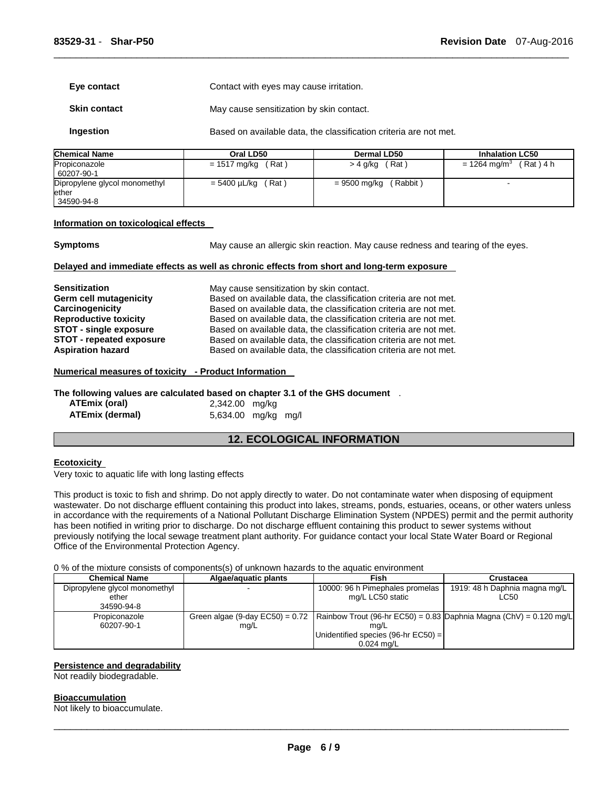| Eye contact         | Contact with eyes may cause irritation.  |
|---------------------|------------------------------------------|
| <b>Skin contact</b> | May cause sensitization by skin contact. |

**Ingestion Based on available data, the classification criteria are not met.** 

| <b>Chemical Name</b>                   | Oral LD50                    | Dermal LD50              | <b>Inhalation LC50</b>                |
|----------------------------------------|------------------------------|--------------------------|---------------------------------------|
| Propiconazole<br>60207-90-1            | $= 1517 \text{ mg/kg}$ (Rat) | ˈRat ˈ<br>> 4 g/kg       | (Rat) 4 h<br>= 1264 mg/m <sup>3</sup> |
| Dipropylene glycol monomethyl<br>ether | $= 5400 \mu L/kg$ (Rat)      | (Rabbit)<br>= 9500 mg/kg |                                       |
| 34590-94-8                             |                              |                          |                                       |

\_\_\_\_\_\_\_\_\_\_\_\_\_\_\_\_\_\_\_\_\_\_\_\_\_\_\_\_\_\_\_\_\_\_\_\_\_\_\_\_\_\_\_\_\_\_\_\_\_\_\_\_\_\_\_\_\_\_\_\_\_\_\_\_\_\_\_\_\_\_\_\_\_\_\_\_\_\_\_\_\_\_\_\_\_\_\_\_\_\_\_\_\_

#### **Information on toxicological effects**

**Symptoms May cause an allergic skin reaction. May cause redness and tearing of the eyes.** 

#### **Delayed and immediate effects as well as chronic effects from short and long-term exposure**

| <b>Sensitization</b>            | May cause sensitization by skin contact.                          |
|---------------------------------|-------------------------------------------------------------------|
| Germ cell mutagenicity          | Based on available data, the classification criteria are not met. |
| Carcinogenicity                 | Based on available data, the classification criteria are not met. |
| <b>Reproductive toxicity</b>    | Based on available data, the classification criteria are not met. |
| <b>STOT - single exposure</b>   | Based on available data, the classification criteria are not met. |
| <b>STOT - repeated exposure</b> | Based on available data, the classification criteria are not met. |
| <b>Aspiration hazard</b>        | Based on available data, the classification criteria are not met. |

#### **Numerical measures of toxicity - Product Information**

**The following values are calculated based on chapter 3.1 of the GHS document** .

| ATEmix (oral)   | 2,342.00 mg/kg      |  |
|-----------------|---------------------|--|
| ATEmix (dermal) | 5,634.00 mg/kg mg/l |  |

# **12. ECOLOGICAL INFORMATION**

#### **Ecotoxicity**

Very toxic to aquatic life with long lasting effects

This product is toxic to fish and shrimp. Do not apply directly to water. Do not contaminate water when disposing of equipment wastewater. Do not discharge effluent containing this product into lakes, streams, ponds, estuaries, oceans, or other waters unless in accordance with the requirements of a National Pollutant Discharge Elimination System (NPDES) permit and the permit authority has been notified in writing prior to discharge. Do not discharge effluent containing this product to sewer systems without previously notifying the local sewage treatment plant authority. For guidance contact your local State Water Board or Regional Office of the Environmental Protection Agency.

#### 0 % of the mixture consists of components(s) of unknown hazards to the aquatic environment

| <b>Chemical Name</b>                   | Algae/aguatic plants | Fish                                                                                                   | Crustacea                             |
|----------------------------------------|----------------------|--------------------------------------------------------------------------------------------------------|---------------------------------------|
| Dipropylene glycol monomethyl<br>ether |                      | 10000: 96 h Pimephales promelas<br>mg/L LC50 static                                                    | 1919: 48 h Daphnia magna mg/L<br>LC50 |
| 34590-94-8                             |                      |                                                                                                        |                                       |
| Propiconazole                          |                      | Green algae (9-day EC50) = 0.72   Rainbow Trout (96-hr EC50) = 0.83   Daphnia Magna (ChV) = 0.120 mg/L |                                       |
| 60207-90-1                             | mg/L                 | ma/L                                                                                                   |                                       |
|                                        |                      | Unidentified species (96-hr $EC50$ ) =                                                                 |                                       |
|                                        |                      | $0.024$ mg/L                                                                                           |                                       |

#### **Persistence and degradability**

Not readily biodegradable.

#### **Bioaccumulation**

Not likely to bioaccumulate.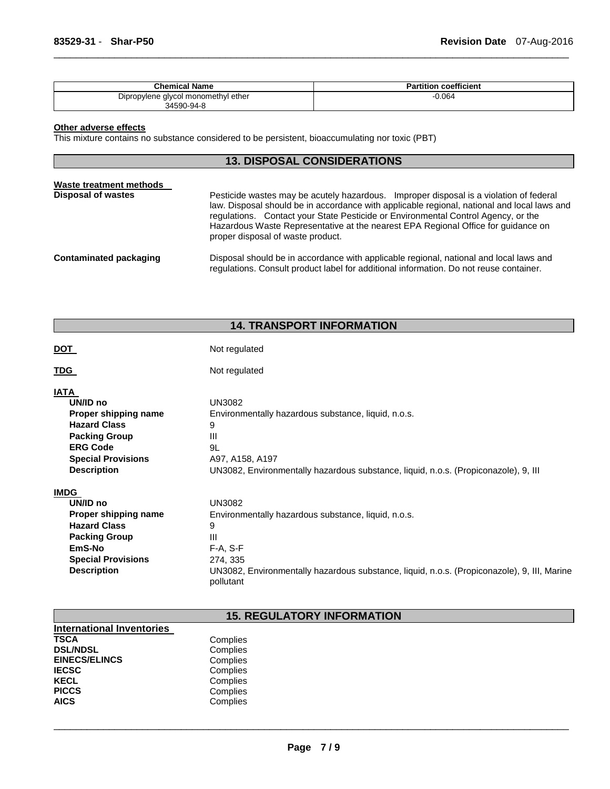| <b>Chemical Name</b>                              | coefficient<br>Partition. |
|---------------------------------------------------|---------------------------|
| Dipropylene glycol monomethyl ether<br>34590-94-8 | J.064                     |

\_\_\_\_\_\_\_\_\_\_\_\_\_\_\_\_\_\_\_\_\_\_\_\_\_\_\_\_\_\_\_\_\_\_\_\_\_\_\_\_\_\_\_\_\_\_\_\_\_\_\_\_\_\_\_\_\_\_\_\_\_\_\_\_\_\_\_\_\_\_\_\_\_\_\_\_\_\_\_\_\_\_\_\_\_\_\_\_\_\_\_\_\_

#### **Other adverse effects**

This mixture contains no substance considered to be persistent, bioaccumulating nor toxic (PBT)

#### **13. DISPOSAL CONSIDERATIONS**

| Waste treatment methods |           |
|-------------------------|-----------|
| Disposal of wastes      | Pesticide |
|                         |           |

wastes may be acutely hazardous. Improper disposal is a violation of federal law. Disposal should be in accordance with applicable regional, national and local laws and regulations. Contact your State Pesticide or Environmental Control Agency, or the Hazardous Waste Representative at the nearest EPA Regional Office for guidance on proper disposal of waste product.

```
Contaminated packaging Disposal should be in accordance with applicable regional, national and local laws and 
                         regulations. Consult product label for additional information. Do not reuse container.
```
# **14. TRANSPORT INFORMATION**

| DOT                                                                                                                                                           | Not regulated                                                                                                                                                                                                                     |
|---------------------------------------------------------------------------------------------------------------------------------------------------------------|-----------------------------------------------------------------------------------------------------------------------------------------------------------------------------------------------------------------------------------|
| TDG                                                                                                                                                           | Not regulated                                                                                                                                                                                                                     |
| IATA<br>UN/ID no<br>Proper shipping name<br><b>Hazard Class</b><br><b>Packing Group</b><br><b>ERG Code</b><br><b>Special Provisions</b><br><b>Description</b> | <b>UN3082</b><br>Environmentally hazardous substance, liquid, n.o.s.<br>9<br>$\mathbf{III}$<br>9L<br>A97, A158, A197<br>UN3082, Environmentally hazardous substance, liquid, n.o.s. (Propiconazole), 9, III                       |
| IMDG<br>UN/ID no<br>Proper shipping name<br><b>Hazard Class</b><br><b>Packing Group</b><br>EmS-No<br><b>Special Provisions</b><br><b>Description</b>          | <b>UN3082</b><br>Environmentally hazardous substance, liquid, n.o.s.<br>9<br>$\mathbf{III}$<br>$F-A, S-F$<br>274, 335<br>UN3082, Environmentally hazardous substance, liquid, n.o.s. (Propiconazole), 9, III, Marine<br>pollutant |

# **15. REGULATORY INFORMATION**

| <b>International Inventories</b> |          |
|----------------------------------|----------|
| <b>TSCA</b>                      | Complies |
| <b>DSL/NDSL</b>                  | Complies |
| <b>EINECS/ELINCS</b>             | Complies |
| <b>IECSC</b>                     | Complies |
| <b>KECL</b>                      | Complies |
| <b>PICCS</b>                     | Complies |
| <b>AICS</b>                      | Complies |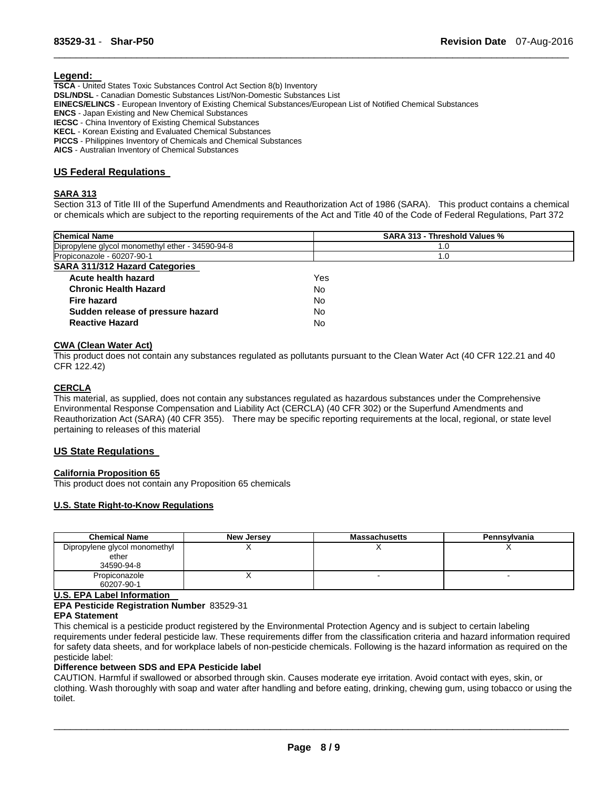#### **Legend:**

**TSCA** - United States Toxic Substances Control Act Section 8(b) Inventory **DSL/NDSL** - Canadian Domestic Substances List/Non-Domestic Substances List **EINECS/ELINCS** - European Inventory of Existing Chemical Substances/European List of Notified Chemical Substances **ENCS** - Japan Existing and New Chemical Substances **IECSC** - China Inventory of Existing Chemical Substances **KECL** - Korean Existing and Evaluated Chemical Substances **PICCS** - Philippines Inventory of Chemicals and Chemical Substances **AICS** - Australian Inventory of Chemical Substances

# **US Federal Regulations**

#### **SARA 313**

Section 313 of Title III of the Superfund Amendments and Reauthorization Act of 1986 (SARA). This product contains a chemical or chemicals which are subject to the reporting requirements of the Act and Title 40 of the Code of Federal Regulations, Part 372

\_\_\_\_\_\_\_\_\_\_\_\_\_\_\_\_\_\_\_\_\_\_\_\_\_\_\_\_\_\_\_\_\_\_\_\_\_\_\_\_\_\_\_\_\_\_\_\_\_\_\_\_\_\_\_\_\_\_\_\_\_\_\_\_\_\_\_\_\_\_\_\_\_\_\_\_\_\_\_\_\_\_\_\_\_\_\_\_\_\_\_\_\_

| <b>Chemical Name</b>                             | SARA 313 - Threshold Values % |
|--------------------------------------------------|-------------------------------|
| Dipropylene glycol monomethyl ether - 34590-94-8 | 1.0                           |
| Propiconazole - 60207-90-1                       | 1.0                           |
| <b>SARA 311/312 Hazard Categories</b>            |                               |
| Acute health hazard                              | Yes                           |
| <b>Chronic Health Hazard</b>                     | No                            |
| Fire hazard                                      | No                            |
| Sudden release of pressure hazard                | No                            |
| <b>Reactive Hazard</b>                           | No                            |

#### **CWA (Clean Water Act)**

This product does not contain any substances regulated as pollutants pursuant to the Clean Water Act (40 CFR 122.21 and 40 CFR 122.42)

# **CERCLA**

This material, as supplied, does not contain any substances regulated as hazardous substances under the Comprehensive Environmental Response Compensation and Liability Act (CERCLA) (40 CFR 302) or the Superfund Amendments and Reauthorization Act (SARA) (40 CFR 355). There may be specific reporting requirements at the local, regional, or state level pertaining to releases of this material

# **US State Regulations**

#### **California Proposition 65**

This product does not contain any Proposition 65 chemicals

#### **U.S. State Right-to-Know Regulations**

| <b>Chemical Name</b>                                 | New Jersey | <b>Massachusetts</b> | Pennsylvania |
|------------------------------------------------------|------------|----------------------|--------------|
| Dipropylene glycol monomethyl<br>ether<br>34590-94-8 |            |                      |              |
| Propiconazole<br>60207-90-1                          |            |                      |              |

# **U.S. EPA Label Information**

**EPA Pesticide Registration Number** 83529-31

#### **EPA Statement**

This chemical is a pesticide product registered by the Environmental Protection Agency and is subject to certain labeling requirements under federal pesticide law. These requirements differ from the classification criteria and hazard information required for safety data sheets, and for workplace labels of non-pesticide chemicals. Following is the hazard information as required on the pesticide label:

#### **Difference between SDS and EPA Pesticide label**

CAUTION. Harmful if swallowed or absorbed through skin. Causes moderate eye irritation. Avoid contact with eyes, skin, or clothing. Wash thoroughly with soap and water after handling and before eating, drinking, chewing gum, using tobacco or using the toilet.